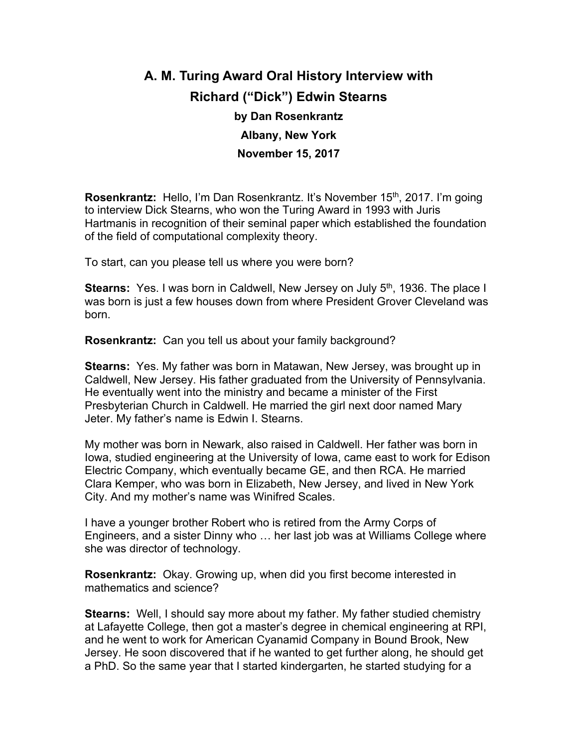## **A. M. Turing Award Oral History Interview with Richard ("Dick") Edwin Stearns by Dan Rosenkrantz Albany, New York November 15, 2017**

**Rosenkrantz:** Hello, I'm Dan Rosenkrantz. It's November 15<sup>th</sup>, 2017. I'm going to interview Dick Stearns, who won the Turing Award in 1993 with Juris Hartmanis in recognition of their seminal paper which established the foundation of the field of computational complexity theory.

To start, can you please tell us where you were born?

**Stearns:** Yes. I was born in Caldwell, New Jersey on July 5<sup>th</sup>, 1936. The place I was born is just a few houses down from where President Grover Cleveland was born.

**Rosenkrantz:** Can you tell us about your family background?

**Stearns:** Yes. My father was born in Matawan, New Jersey, was brought up in Caldwell, New Jersey. His father graduated from the University of Pennsylvania. He eventually went into the ministry and became a minister of the First Presbyterian Church in Caldwell. He married the girl next door named Mary Jeter. My father's name is Edwin I. Stearns.

My mother was born in Newark, also raised in Caldwell. Her father was born in Iowa, studied engineering at the University of Iowa, came east to work for Edison Electric Company, which eventually became GE, and then RCA. He married Clara Kemper, who was born in Elizabeth, New Jersey, and lived in New York City. And my mother's name was Winifred Scales.

I have a younger brother Robert who is retired from the Army Corps of Engineers, and a sister Dinny who … her last job was at Williams College where she was director of technology.

**Rosenkrantz:** Okay. Growing up, when did you first become interested in mathematics and science?

**Stearns:** Well, I should say more about my father. My father studied chemistry at Lafayette College, then got a master's degree in chemical engineering at RPI, and he went to work for American Cyanamid Company in Bound Brook, New Jersey. He soon discovered that if he wanted to get further along, he should get a PhD. So the same year that I started kindergarten, he started studying for a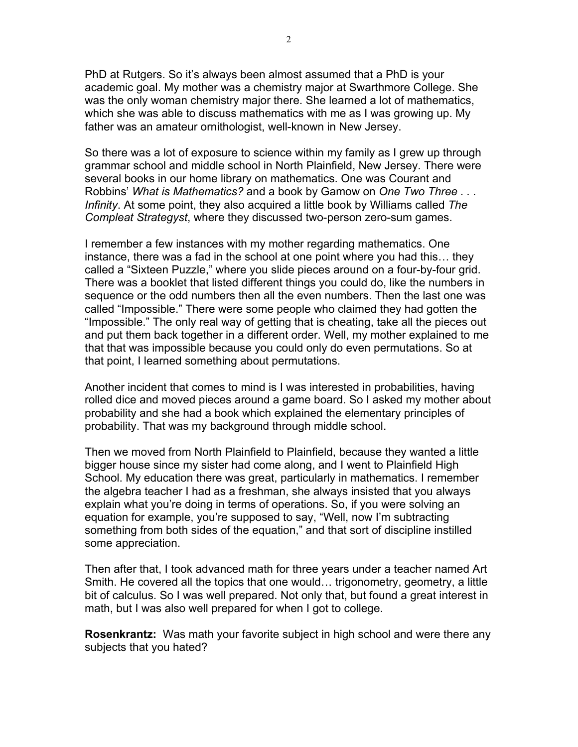PhD at Rutgers. So it's always been almost assumed that a PhD is your academic goal. My mother was a chemistry major at Swarthmore College. She was the only woman chemistry major there. She learned a lot of mathematics, which she was able to discuss mathematics with me as I was growing up. My father was an amateur ornithologist, well-known in New Jersey.

So there was a lot of exposure to science within my family as I grew up through grammar school and middle school in North Plainfield, New Jersey. There were several books in our home library on mathematics. One was Courant and Robbins' *What is Mathematics?* and a book by Gamow on *One Two Three . . . Infinity*. At some point, they also acquired a little book by Williams called *The Compleat Strategyst*, where they discussed two-person zero-sum games.

I remember a few instances with my mother regarding mathematics. One instance, there was a fad in the school at one point where you had this… they called a "Sixteen Puzzle," where you slide pieces around on a four-by-four grid. There was a booklet that listed different things you could do, like the numbers in sequence or the odd numbers then all the even numbers. Then the last one was called "Impossible." There were some people who claimed they had gotten the "Impossible." The only real way of getting that is cheating, take all the pieces out and put them back together in a different order. Well, my mother explained to me that that was impossible because you could only do even permutations. So at that point, I learned something about permutations.

Another incident that comes to mind is I was interested in probabilities, having rolled dice and moved pieces around a game board. So I asked my mother about probability and she had a book which explained the elementary principles of probability. That was my background through middle school.

Then we moved from North Plainfield to Plainfield, because they wanted a little bigger house since my sister had come along, and I went to Plainfield High School. My education there was great, particularly in mathematics. I remember the algebra teacher I had as a freshman, she always insisted that you always explain what you're doing in terms of operations. So, if you were solving an equation for example, you're supposed to say, "Well, now I'm subtracting something from both sides of the equation," and that sort of discipline instilled some appreciation.

Then after that, I took advanced math for three years under a teacher named Art Smith. He covered all the topics that one would… trigonometry, geometry, a little bit of calculus. So I was well prepared. Not only that, but found a great interest in math, but I was also well prepared for when I got to college.

**Rosenkrantz:** Was math your favorite subject in high school and were there any subjects that you hated?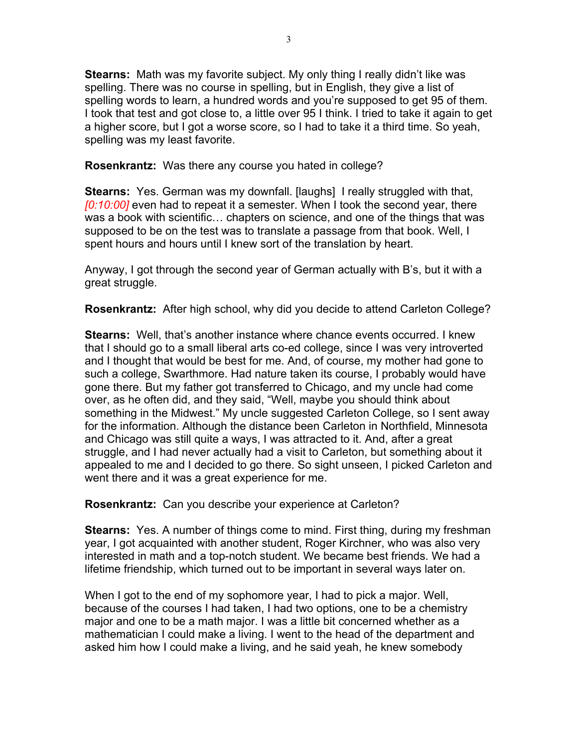**Stearns:** Math was my favorite subject. My only thing I really didn't like was spelling. There was no course in spelling, but in English, they give a list of spelling words to learn, a hundred words and you're supposed to get 95 of them. I took that test and got close to, a little over 95 I think. I tried to take it again to get a higher score, but I got a worse score, so I had to take it a third time. So yeah, spelling was my least favorite.

**Rosenkrantz:** Was there any course you hated in college?

**Stearns:** Yes. German was my downfall. [laughs] I really struggled with that, *[0:10:00]* even had to repeat it a semester. When I took the second year, there was a book with scientific… chapters on science, and one of the things that was supposed to be on the test was to translate a passage from that book. Well, I spent hours and hours until I knew sort of the translation by heart.

Anyway, I got through the second year of German actually with B's, but it with a great struggle.

**Rosenkrantz:** After high school, why did you decide to attend Carleton College?

**Stearns:** Well, that's another instance where chance events occurred. I knew that I should go to a small liberal arts co-ed college, since I was very introverted and I thought that would be best for me. And, of course, my mother had gone to such a college, Swarthmore. Had nature taken its course, I probably would have gone there. But my father got transferred to Chicago, and my uncle had come over, as he often did, and they said, "Well, maybe you should think about something in the Midwest." My uncle suggested Carleton College, so I sent away for the information. Although the distance been Carleton in Northfield, Minnesota and Chicago was still quite a ways, I was attracted to it. And, after a great struggle, and I had never actually had a visit to Carleton, but something about it appealed to me and I decided to go there. So sight unseen, I picked Carleton and went there and it was a great experience for me.

**Rosenkrantz:** Can you describe your experience at Carleton?

**Stearns:** Yes. A number of things come to mind. First thing, during my freshman year, I got acquainted with another student, Roger Kirchner, who was also very interested in math and a top-notch student. We became best friends. We had a lifetime friendship, which turned out to be important in several ways later on.

When I got to the end of my sophomore year, I had to pick a major. Well, because of the courses I had taken, I had two options, one to be a chemistry major and one to be a math major. I was a little bit concerned whether as a mathematician I could make a living. I went to the head of the department and asked him how I could make a living, and he said yeah, he knew somebody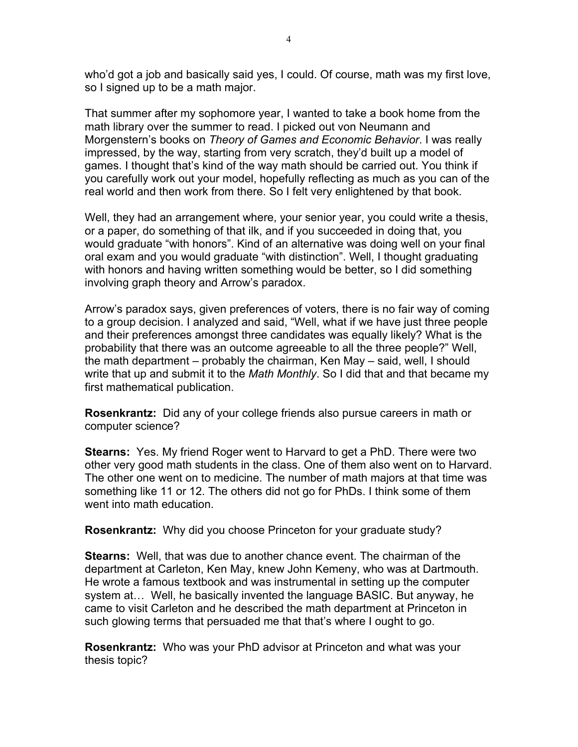who'd got a job and basically said yes, I could. Of course, math was my first love, so I signed up to be a math major.

That summer after my sophomore year, I wanted to take a book home from the math library over the summer to read. I picked out von Neumann and Morgenstern's books on *Theory of Games and Economic Behavior*. I was really impressed, by the way, starting from very scratch, they'd built up a model of games. I thought that's kind of the way math should be carried out. You think if you carefully work out your model, hopefully reflecting as much as you can of the real world and then work from there. So I felt very enlightened by that book.

Well, they had an arrangement where, your senior year, you could write a thesis, or a paper, do something of that ilk, and if you succeeded in doing that, you would graduate "with honors". Kind of an alternative was doing well on your final oral exam and you would graduate "with distinction". Well, I thought graduating with honors and having written something would be better, so I did something involving graph theory and Arrow's paradox.

Arrow's paradox says, given preferences of voters, there is no fair way of coming to a group decision. I analyzed and said, "Well, what if we have just three people and their preferences amongst three candidates was equally likely? What is the probability that there was an outcome agreeable to all the three people?" Well, the math department – probably the chairman, Ken May – said, well, I should write that up and submit it to the *Math Monthly*. So I did that and that became my first mathematical publication.

**Rosenkrantz:** Did any of your college friends also pursue careers in math or computer science?

**Stearns:** Yes. My friend Roger went to Harvard to get a PhD. There were two other very good math students in the class. One of them also went on to Harvard. The other one went on to medicine. The number of math majors at that time was something like 11 or 12. The others did not go for PhDs. I think some of them went into math education.

**Rosenkrantz:** Why did you choose Princeton for your graduate study?

**Stearns:** Well, that was due to another chance event. The chairman of the department at Carleton, Ken May, knew John Kemeny, who was at Dartmouth. He wrote a famous textbook and was instrumental in setting up the computer system at… Well, he basically invented the language BASIC. But anyway, he came to visit Carleton and he described the math department at Princeton in such glowing terms that persuaded me that that's where I ought to go.

**Rosenkrantz:** Who was your PhD advisor at Princeton and what was your thesis topic?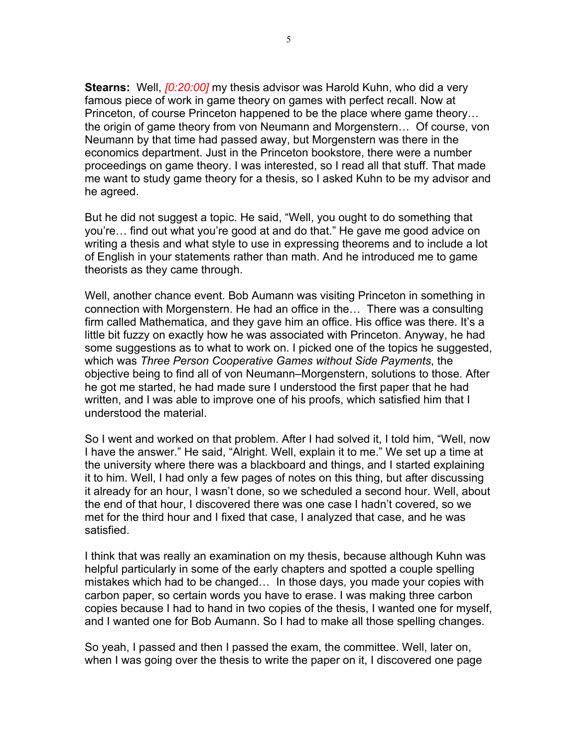**Stearns:** Well, *[0:20:00]* my thesis advisor was Harold Kuhn, who did a very famous piece of work in game theory on games with perfect recall. Now at Princeton, of course Princeton happened to be the place where game theory… the origin of game theory from von Neumann and Morgenstern… Of course, von Neumann by that time had passed away, but Morgenstern was there in the economics department. Just in the Princeton bookstore, there were a number proceedings on game theory. I was interested, so I read all that stuff. That made me want to study game theory for a thesis, so I asked Kuhn to be my advisor and he agreed.

But he did not suggest a topic. He said, "Well, you ought to do something that you're… find out what you're good at and do that." He gave me good advice on writing a thesis and what style to use in expressing theorems and to include a lot of English in your statements rather than math. And he introduced me to game theorists as they came through.

Well, another chance event. Bob Aumann was visiting Princeton in something in connection with Morgenstern. He had an office in the… There was a consulting firm called Mathematica, and they gave him an office. His office was there. It's a little bit fuzzy on exactly how he was associated with Princeton. Anyway, he had some suggestions as to what to work on. I picked one of the topics he suggested, which was *Three Person Cooperative Games without Side Payments*, the objective being to find all of von Neumann–Morgenstern, solutions to those. After he got me started, he had made sure I understood the first paper that he had written, and I was able to improve one of his proofs, which satisfied him that I understood the material.

So I went and worked on that problem. After I had solved it, I told him, "Well, now I have the answer." He said, "Alright. Well, explain it to me." We set up a time at the university where there was a blackboard and things, and I started explaining it to him. Well, I had only a few pages of notes on this thing, but after discussing it already for an hour, I wasn't done, so we scheduled a second hour. Well, about the end of that hour, I discovered there was one case I hadn't covered, so we met for the third hour and I fixed that case, I analyzed that case, and he was satisfied.

I think that was really an examination on my thesis, because although Kuhn was helpful particularly in some of the early chapters and spotted a couple spelling mistakes which had to be changed… In those days, you made your copies with carbon paper, so certain words you have to erase. I was making three carbon copies because I had to hand in two copies of the thesis, I wanted one for myself, and I wanted one for Bob Aumann. So I had to make all those spelling changes.

So yeah, I passed and then I passed the exam, the committee. Well, later on, when I was going over the thesis to write the paper on it, I discovered one page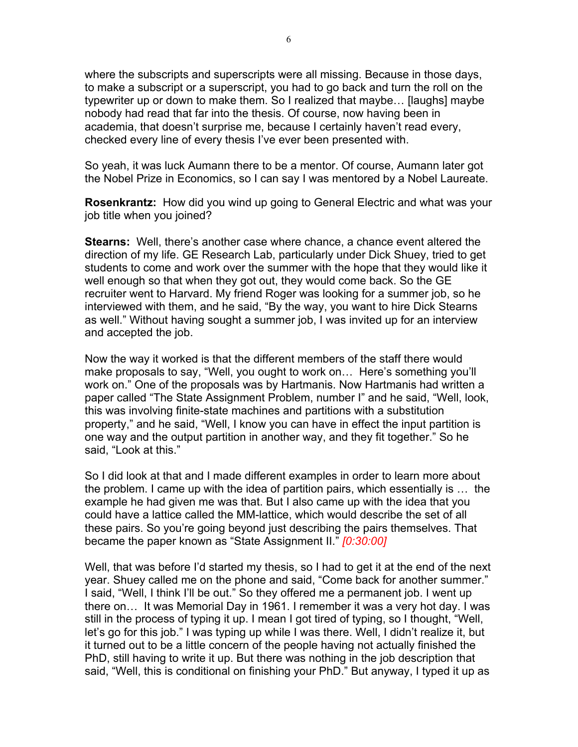where the subscripts and superscripts were all missing. Because in those days, to make a subscript or a superscript, you had to go back and turn the roll on the typewriter up or down to make them. So I realized that maybe… [laughs] maybe nobody had read that far into the thesis. Of course, now having been in academia, that doesn't surprise me, because I certainly haven't read every, checked every line of every thesis I've ever been presented with.

So yeah, it was luck Aumann there to be a mentor. Of course, Aumann later got the Nobel Prize in Economics, so I can say I was mentored by a Nobel Laureate.

**Rosenkrantz:** How did you wind up going to General Electric and what was your job title when you joined?

**Stearns:** Well, there's another case where chance, a chance event altered the direction of my life. GE Research Lab, particularly under Dick Shuey, tried to get students to come and work over the summer with the hope that they would like it well enough so that when they got out, they would come back. So the GE recruiter went to Harvard. My friend Roger was looking for a summer job, so he interviewed with them, and he said, "By the way, you want to hire Dick Stearns as well." Without having sought a summer job, I was invited up for an interview and accepted the job.

Now the way it worked is that the different members of the staff there would make proposals to say, "Well, you ought to work on… Here's something you'll work on." One of the proposals was by Hartmanis. Now Hartmanis had written a paper called "The State Assignment Problem, number I" and he said, "Well, look, this was involving finite-state machines and partitions with a substitution property," and he said, "Well, I know you can have in effect the input partition is one way and the output partition in another way, and they fit together." So he said, "Look at this."

So I did look at that and I made different examples in order to learn more about the problem. I came up with the idea of partition pairs, which essentially is … the example he had given me was that. But I also came up with the idea that you could have a lattice called the MM-lattice, which would describe the set of all these pairs. So you're going beyond just describing the pairs themselves. That became the paper known as "State Assignment II." *[0:30:00]*

Well, that was before I'd started my thesis, so I had to get it at the end of the next year. Shuey called me on the phone and said, "Come back for another summer." I said, "Well, I think I'll be out." So they offered me a permanent job. I went up there on… It was Memorial Day in 1961. I remember it was a very hot day. I was still in the process of typing it up. I mean I got tired of typing, so I thought, "Well, let's go for this job." I was typing up while I was there. Well, I didn't realize it, but it turned out to be a little concern of the people having not actually finished the PhD, still having to write it up. But there was nothing in the job description that said, "Well, this is conditional on finishing your PhD." But anyway, I typed it up as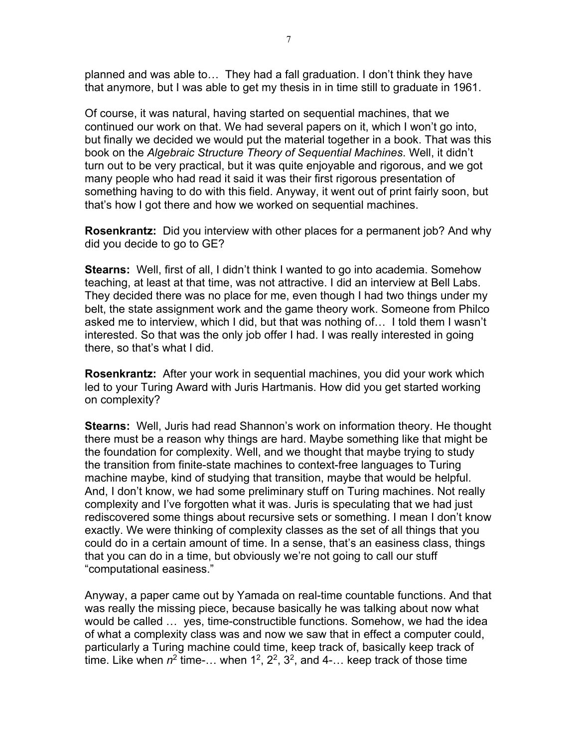planned and was able to… They had a fall graduation. I don't think they have that anymore, but I was able to get my thesis in in time still to graduate in 1961.

Of course, it was natural, having started on sequential machines, that we continued our work on that. We had several papers on it, which I won't go into, but finally we decided we would put the material together in a book. That was this book on the *Algebraic Structure Theory of Sequential Machines*. Well, it didn't turn out to be very practical, but it was quite enjoyable and rigorous, and we got many people who had read it said it was their first rigorous presentation of something having to do with this field. Anyway, it went out of print fairly soon, but that's how I got there and how we worked on sequential machines.

**Rosenkrantz:** Did you interview with other places for a permanent job? And why did you decide to go to GE?

**Stearns:** Well, first of all, I didn't think I wanted to go into academia. Somehow teaching, at least at that time, was not attractive. I did an interview at Bell Labs. They decided there was no place for me, even though I had two things under my belt, the state assignment work and the game theory work. Someone from Philco asked me to interview, which I did, but that was nothing of… I told them I wasn't interested. So that was the only job offer I had. I was really interested in going there, so that's what I did.

**Rosenkrantz:** After your work in sequential machines, you did your work which led to your Turing Award with Juris Hartmanis. How did you get started working on complexity?

**Stearns:** Well, Juris had read Shannon's work on information theory. He thought there must be a reason why things are hard. Maybe something like that might be the foundation for complexity. Well, and we thought that maybe trying to study the transition from finite-state machines to context-free languages to Turing machine maybe, kind of studying that transition, maybe that would be helpful. And, I don't know, we had some preliminary stuff on Turing machines. Not really complexity and I've forgotten what it was. Juris is speculating that we had just rediscovered some things about recursive sets or something. I mean I don't know exactly. We were thinking of complexity classes as the set of all things that you could do in a certain amount of time. In a sense, that's an easiness class, things that you can do in a time, but obviously we're not going to call our stuff "computational easiness."

Anyway, a paper came out by Yamada on real-time countable functions. And that was really the missing piece, because basically he was talking about now what would be called … yes, time-constructible functions. Somehow, we had the idea of what a complexity class was and now we saw that in effect a computer could, particularly a Turing machine could time, keep track of, basically keep track of time. Like when  $n^2$  time-... when  $1^2$ ,  $2^2$ ,  $3^2$ , and  $4$ -... keep track of those time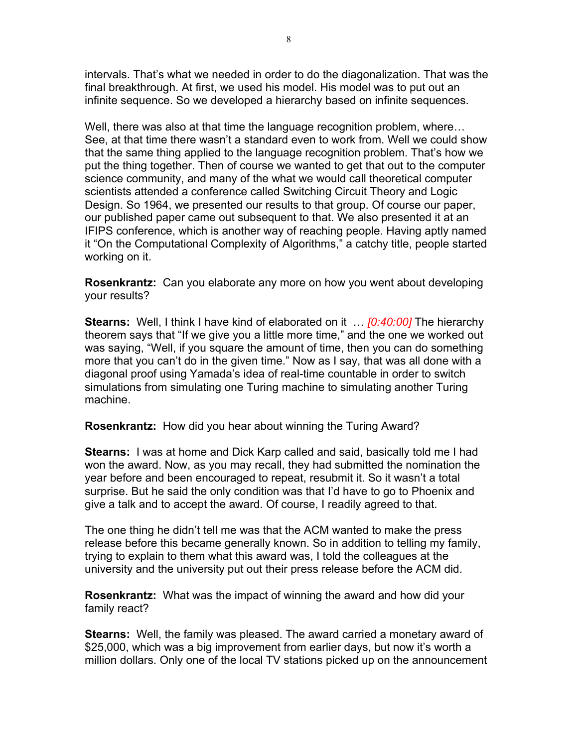intervals. That's what we needed in order to do the diagonalization. That was the final breakthrough. At first, we used his model. His model was to put out an infinite sequence. So we developed a hierarchy based on infinite sequences.

Well, there was also at that time the language recognition problem, where… See, at that time there wasn't a standard even to work from. Well we could show that the same thing applied to the language recognition problem. That's how we put the thing together. Then of course we wanted to get that out to the computer science community, and many of the what we would call theoretical computer scientists attended a conference called Switching Circuit Theory and Logic Design. So 1964, we presented our results to that group. Of course our paper, our published paper came out subsequent to that. We also presented it at an IFIPS conference, which is another way of reaching people. Having aptly named it "On the Computational Complexity of Algorithms," a catchy title, people started working on it.

**Rosenkrantz:** Can you elaborate any more on how you went about developing your results?

**Stearns:** Well, I think I have kind of elaborated on it … *[0:40:00]* The hierarchy theorem says that "If we give you a little more time," and the one we worked out was saying, "Well, if you square the amount of time, then you can do something more that you can't do in the given time." Now as I say, that was all done with a diagonal proof using Yamada's idea of real-time countable in order to switch simulations from simulating one Turing machine to simulating another Turing machine.

**Rosenkrantz:** How did you hear about winning the Turing Award?

**Stearns:** I was at home and Dick Karp called and said, basically told me I had won the award. Now, as you may recall, they had submitted the nomination the year before and been encouraged to repeat, resubmit it. So it wasn't a total surprise. But he said the only condition was that I'd have to go to Phoenix and give a talk and to accept the award. Of course, I readily agreed to that.

The one thing he didn't tell me was that the ACM wanted to make the press release before this became generally known. So in addition to telling my family, trying to explain to them what this award was, I told the colleagues at the university and the university put out their press release before the ACM did.

**Rosenkrantz:** What was the impact of winning the award and how did your family react?

**Stearns:** Well, the family was pleased. The award carried a monetary award of \$25,000, which was a big improvement from earlier days, but now it's worth a million dollars. Only one of the local TV stations picked up on the announcement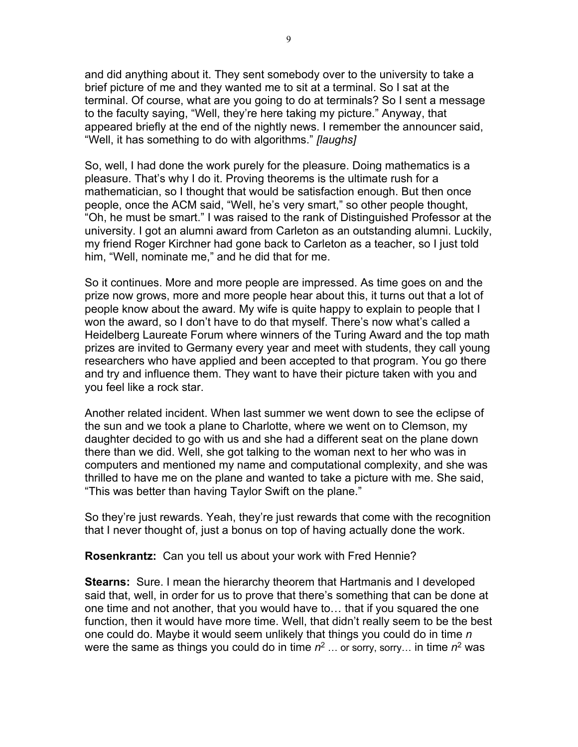and did anything about it. They sent somebody over to the university to take a brief picture of me and they wanted me to sit at a terminal. So I sat at the terminal. Of course, what are you going to do at terminals? So I sent a message to the faculty saying, "Well, they're here taking my picture." Anyway, that appeared briefly at the end of the nightly news. I remember the announcer said, "Well, it has something to do with algorithms." *[laughs]*

So, well, I had done the work purely for the pleasure. Doing mathematics is a pleasure. That's why I do it. Proving theorems is the ultimate rush for a mathematician, so I thought that would be satisfaction enough. But then once people, once the ACM said, "Well, he's very smart," so other people thought, "Oh, he must be smart." I was raised to the rank of Distinguished Professor at the university. I got an alumni award from Carleton as an outstanding alumni. Luckily, my friend Roger Kirchner had gone back to Carleton as a teacher, so I just told him, "Well, nominate me," and he did that for me.

So it continues. More and more people are impressed. As time goes on and the prize now grows, more and more people hear about this, it turns out that a lot of people know about the award. My wife is quite happy to explain to people that I won the award, so I don't have to do that myself. There's now what's called a Heidelberg Laureate Forum where winners of the Turing Award and the top math prizes are invited to Germany every year and meet with students, they call young researchers who have applied and been accepted to that program. You go there and try and influence them. They want to have their picture taken with you and you feel like a rock star.

Another related incident. When last summer we went down to see the eclipse of the sun and we took a plane to Charlotte, where we went on to Clemson, my daughter decided to go with us and she had a different seat on the plane down there than we did. Well, she got talking to the woman next to her who was in computers and mentioned my name and computational complexity, and she was thrilled to have me on the plane and wanted to take a picture with me. She said, "This was better than having Taylor Swift on the plane."

So they're just rewards. Yeah, they're just rewards that come with the recognition that I never thought of, just a bonus on top of having actually done the work.

**Rosenkrantz:** Can you tell us about your work with Fred Hennie?

**Stearns:** Sure. I mean the hierarchy theorem that Hartmanis and I developed said that, well, in order for us to prove that there's something that can be done at one time and not another, that you would have to… that if you squared the one function, then it would have more time. Well, that didn't really seem to be the best one could do. Maybe it would seem unlikely that things you could do in time *n* were the same as things you could do in time *n*<sup>2</sup> … or sorry, sorry… in time *n*<sup>2</sup> was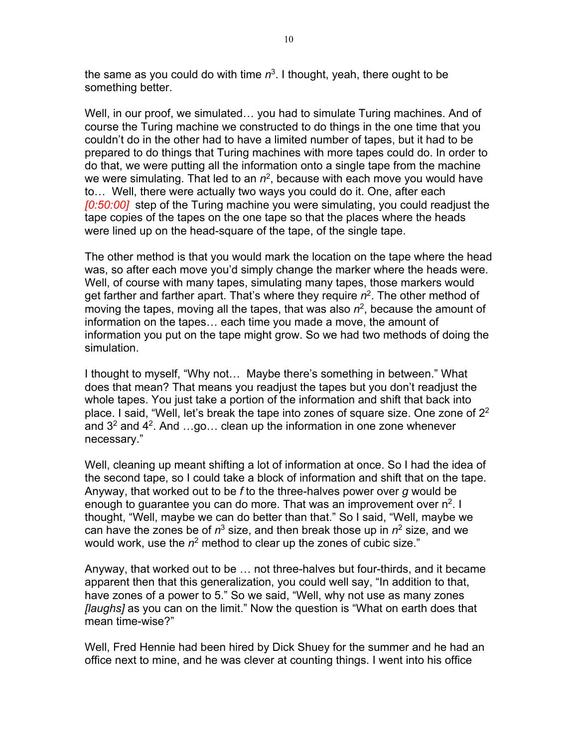the same as you could do with time  $n^3$ . I thought, yeah, there ought to be something better.

Well, in our proof, we simulated… you had to simulate Turing machines. And of course the Turing machine we constructed to do things in the one time that you couldn't do in the other had to have a limited number of tapes, but it had to be prepared to do things that Turing machines with more tapes could do. In order to do that, we were putting all the information onto a single tape from the machine we were simulating. That led to an  $n^2$ , because with each move you would have to… Well, there were actually two ways you could do it. One, after each *[0:50:00]* step of the Turing machine you were simulating, you could readjust the tape copies of the tapes on the one tape so that the places where the heads were lined up on the head-square of the tape, of the single tape.

The other method is that you would mark the location on the tape where the head was, so after each move you'd simply change the marker where the heads were. Well, of course with many tapes, simulating many tapes, those markers would get farther and farther apart. That's where they require *n*2. The other method of moving the tapes, moving all the tapes, that was also *n*2, because the amount of information on the tapes… each time you made a move, the amount of information you put on the tape might grow. So we had two methods of doing the simulation.

I thought to myself, "Why not… Maybe there's something in between." What does that mean? That means you readjust the tapes but you don't readjust the whole tapes. You just take a portion of the information and shift that back into place. I said, "Well, let's break the tape into zones of square size. One zone of  $2<sup>2</sup>$ and  $3<sup>2</sup>$  and  $4<sup>2</sup>$ . And ...go... clean up the information in one zone whenever necessary."

Well, cleaning up meant shifting a lot of information at once. So I had the idea of the second tape, so I could take a block of information and shift that on the tape. Anyway, that worked out to be *f* to the three-halves power over *g* would be enough to guarantee you can do more. That was an improvement over  $n^2$ . I thought, "Well, maybe we can do better than that." So I said, "Well, maybe we can have the zones be of  $n^3$  size, and then break those up in  $n^2$  size, and we would work, use the  $n^2$  method to clear up the zones of cubic size."

Anyway, that worked out to be … not three-halves but four-thirds, and it became apparent then that this generalization, you could well say, "In addition to that, have zones of a power to 5." So we said, "Well, why not use as many zones *[laughs]* as you can on the limit." Now the question is "What on earth does that mean time-wise?"

Well, Fred Hennie had been hired by Dick Shuey for the summer and he had an office next to mine, and he was clever at counting things. I went into his office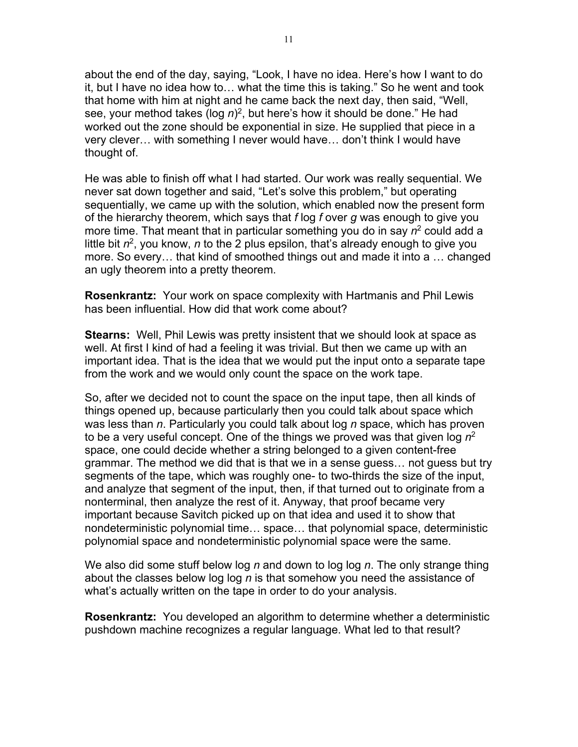about the end of the day, saying, "Look, I have no idea. Here's how I want to do it, but I have no idea how to… what the time this is taking." So he went and took that home with him at night and he came back the next day, then said, "Well, see, your method takes (log n)<sup>2</sup>, but here's how it should be done." He had worked out the zone should be exponential in size. He supplied that piece in a very clever… with something I never would have… don't think I would have thought of.

He was able to finish off what I had started. Our work was really sequential. We never sat down together and said, "Let's solve this problem," but operating sequentially, we came up with the solution, which enabled now the present form of the hierarchy theorem, which says that *f* log *f* over *g* was enough to give you more time. That meant that in particular something you do in say  $n^2$  could add a little bit  $n^2$ , you know, *n* to the 2 plus epsilon, that's already enough to give you more. So every… that kind of smoothed things out and made it into a … changed an ugly theorem into a pretty theorem.

**Rosenkrantz:** Your work on space complexity with Hartmanis and Phil Lewis has been influential. How did that work come about?

**Stearns:** Well, Phil Lewis was pretty insistent that we should look at space as well. At first I kind of had a feeling it was trivial. But then we came up with an important idea. That is the idea that we would put the input onto a separate tape from the work and we would only count the space on the work tape.

So, after we decided not to count the space on the input tape, then all kinds of things opened up, because particularly then you could talk about space which was less than *n*. Particularly you could talk about log *n* space, which has proven to be a very useful concept. One of the things we proved was that given log *n*<sup>2</sup> space, one could decide whether a string belonged to a given content-free grammar. The method we did that is that we in a sense guess… not guess but try segments of the tape, which was roughly one- to two-thirds the size of the input, and analyze that segment of the input, then, if that turned out to originate from a nonterminal, then analyze the rest of it. Anyway, that proof became very important because Savitch picked up on that idea and used it to show that nondeterministic polynomial time… space… that polynomial space, deterministic polynomial space and nondeterministic polynomial space were the same.

We also did some stuff below log *n* and down to log log *n*. The only strange thing about the classes below log log *n* is that somehow you need the assistance of what's actually written on the tape in order to do your analysis.

**Rosenkrantz:** You developed an algorithm to determine whether a deterministic pushdown machine recognizes a regular language. What led to that result?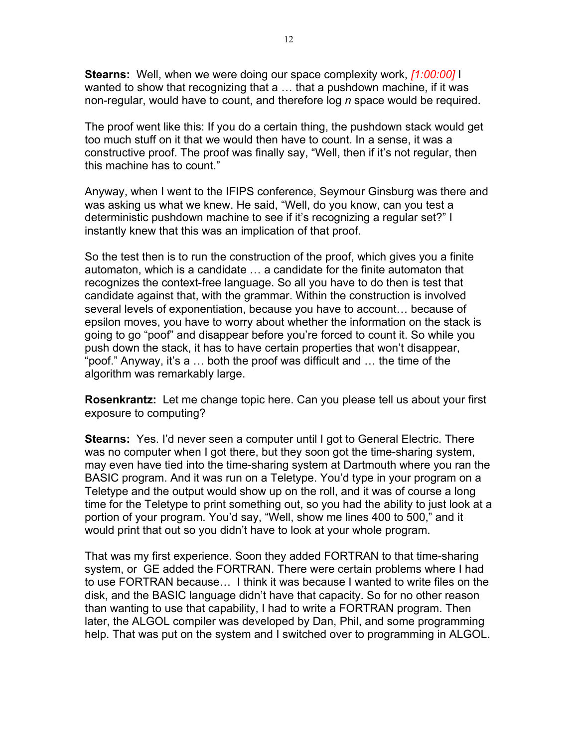**Stearns:** Well, when we were doing our space complexity work, *[1:00:00]* I wanted to show that recognizing that a … that a pushdown machine, if it was non-regular, would have to count, and therefore log *n* space would be required.

The proof went like this: If you do a certain thing, the pushdown stack would get too much stuff on it that we would then have to count. In a sense, it was a constructive proof. The proof was finally say, "Well, then if it's not regular, then this machine has to count."

Anyway, when I went to the IFIPS conference, Seymour Ginsburg was there and was asking us what we knew. He said, "Well, do you know, can you test a deterministic pushdown machine to see if it's recognizing a regular set?" I instantly knew that this was an implication of that proof.

So the test then is to run the construction of the proof, which gives you a finite automaton, which is a candidate … a candidate for the finite automaton that recognizes the context-free language. So all you have to do then is test that candidate against that, with the grammar. Within the construction is involved several levels of exponentiation, because you have to account… because of epsilon moves, you have to worry about whether the information on the stack is going to go "poof" and disappear before you're forced to count it. So while you push down the stack, it has to have certain properties that won't disappear, "poof." Anyway, it's a … both the proof was difficult and … the time of the algorithm was remarkably large.

**Rosenkrantz:** Let me change topic here. Can you please tell us about your first exposure to computing?

**Stearns:** Yes. I'd never seen a computer until I got to General Electric. There was no computer when I got there, but they soon got the time-sharing system, may even have tied into the time-sharing system at Dartmouth where you ran the BASIC program. And it was run on a Teletype. You'd type in your program on a Teletype and the output would show up on the roll, and it was of course a long time for the Teletype to print something out, so you had the ability to just look at a portion of your program. You'd say, "Well, show me lines 400 to 500," and it would print that out so you didn't have to look at your whole program.

That was my first experience. Soon they added FORTRAN to that time-sharing system, or GE added the FORTRAN. There were certain problems where I had to use FORTRAN because… I think it was because I wanted to write files on the disk, and the BASIC language didn't have that capacity. So for no other reason than wanting to use that capability, I had to write a FORTRAN program. Then later, the ALGOL compiler was developed by Dan, Phil, and some programming help. That was put on the system and I switched over to programming in ALGOL.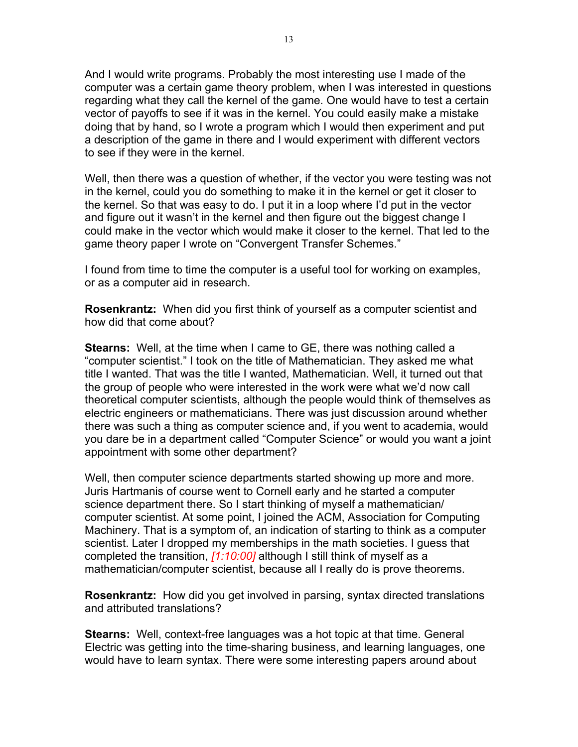And I would write programs. Probably the most interesting use I made of the computer was a certain game theory problem, when I was interested in questions regarding what they call the kernel of the game. One would have to test a certain vector of payoffs to see if it was in the kernel. You could easily make a mistake doing that by hand, so I wrote a program which I would then experiment and put a description of the game in there and I would experiment with different vectors to see if they were in the kernel.

Well, then there was a question of whether, if the vector you were testing was not in the kernel, could you do something to make it in the kernel or get it closer to the kernel. So that was easy to do. I put it in a loop where I'd put in the vector and figure out it wasn't in the kernel and then figure out the biggest change I could make in the vector which would make it closer to the kernel. That led to the game theory paper I wrote on "Convergent Transfer Schemes."

I found from time to time the computer is a useful tool for working on examples, or as a computer aid in research.

**Rosenkrantz:** When did you first think of yourself as a computer scientist and how did that come about?

**Stearns:** Well, at the time when I came to GE, there was nothing called a "computer scientist." I took on the title of Mathematician. They asked me what title I wanted. That was the title I wanted, Mathematician. Well, it turned out that the group of people who were interested in the work were what we'd now call theoretical computer scientists, although the people would think of themselves as electric engineers or mathematicians. There was just discussion around whether there was such a thing as computer science and, if you went to academia, would you dare be in a department called "Computer Science" or would you want a joint appointment with some other department?

Well, then computer science departments started showing up more and more. Juris Hartmanis of course went to Cornell early and he started a computer science department there. So I start thinking of myself a mathematician/ computer scientist. At some point, I joined the ACM, Association for Computing Machinery. That is a symptom of, an indication of starting to think as a computer scientist. Later I dropped my memberships in the math societies. I guess that completed the transition, *[1:10:00]* although I still think of myself as a mathematician/computer scientist, because all I really do is prove theorems.

**Rosenkrantz:** How did you get involved in parsing, syntax directed translations and attributed translations?

**Stearns:** Well, context-free languages was a hot topic at that time. General Electric was getting into the time-sharing business, and learning languages, one would have to learn syntax. There were some interesting papers around about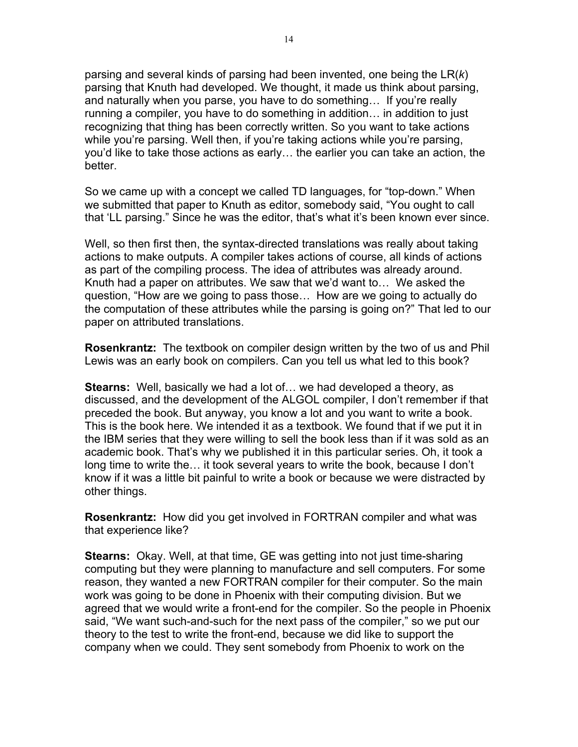parsing and several kinds of parsing had been invented, one being the LR(*k*) parsing that Knuth had developed. We thought, it made us think about parsing, and naturally when you parse, you have to do something… If you're really running a compiler, you have to do something in addition… in addition to just recognizing that thing has been correctly written. So you want to take actions while you're parsing. Well then, if you're taking actions while you're parsing, you'd like to take those actions as early… the earlier you can take an action, the better.

So we came up with a concept we called TD languages, for "top-down." When we submitted that paper to Knuth as editor, somebody said, "You ought to call that 'LL parsing." Since he was the editor, that's what it's been known ever since.

Well, so then first then, the syntax-directed translations was really about taking actions to make outputs. A compiler takes actions of course, all kinds of actions as part of the compiling process. The idea of attributes was already around. Knuth had a paper on attributes. We saw that we'd want to… We asked the question, "How are we going to pass those… How are we going to actually do the computation of these attributes while the parsing is going on?" That led to our paper on attributed translations.

**Rosenkrantz:** The textbook on compiler design written by the two of us and Phil Lewis was an early book on compilers. Can you tell us what led to this book?

**Stearns:** Well, basically we had a lot of… we had developed a theory, as discussed, and the development of the ALGOL compiler, I don't remember if that preceded the book. But anyway, you know a lot and you want to write a book. This is the book here. We intended it as a textbook. We found that if we put it in the IBM series that they were willing to sell the book less than if it was sold as an academic book. That's why we published it in this particular series. Oh, it took a long time to write the… it took several years to write the book, because I don't know if it was a little bit painful to write a book or because we were distracted by other things.

**Rosenkrantz:** How did you get involved in FORTRAN compiler and what was that experience like?

**Stearns:** Okay. Well, at that time, GE was getting into not just time-sharing computing but they were planning to manufacture and sell computers. For some reason, they wanted a new FORTRAN compiler for their computer. So the main work was going to be done in Phoenix with their computing division. But we agreed that we would write a front-end for the compiler. So the people in Phoenix said, "We want such-and-such for the next pass of the compiler," so we put our theory to the test to write the front-end, because we did like to support the company when we could. They sent somebody from Phoenix to work on the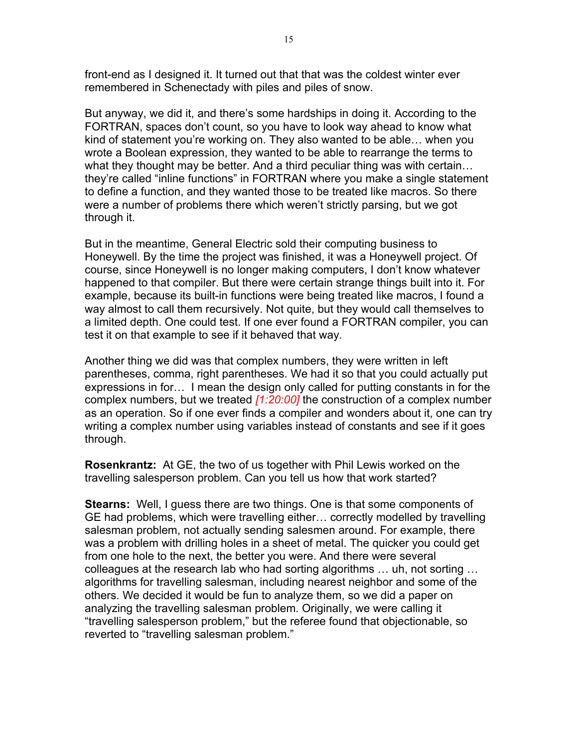front-end as I designed it. It turned out that that was the coldest winter ever remembered in Schenectady with piles and piles of snow.

But anyway, we did it, and there's some hardships in doing it. According to the FORTRAN, spaces don't count, so you have to look way ahead to know what kind of statement you're working on. They also wanted to be able… when you wrote a Boolean expression, they wanted to be able to rearrange the terms to what they thought may be better. And a third peculiar thing was with certain… they're called "inline functions" in FORTRAN where you make a single statement to define a function, and they wanted those to be treated like macros. So there were a number of problems there which weren't strictly parsing, but we got through it.

But in the meantime, General Electric sold their computing business to Honeywell. By the time the project was finished, it was a Honeywell project. Of course, since Honeywell is no longer making computers, I don't know whatever happened to that compiler. But there were certain strange things built into it. For example, because its built-in functions were being treated like macros, I found a way almost to call them recursively. Not quite, but they would call themselves to a limited depth. One could test. If one ever found a FORTRAN compiler, you can test it on that example to see if it behaved that way.

Another thing we did was that complex numbers, they were written in left parentheses, comma, right parentheses. We had it so that you could actually put expressions in for… I mean the design only called for putting constants in for the complex numbers, but we treated *[1:20:00]* the construction of a complex number as an operation. So if one ever finds a compiler and wonders about it, one can try writing a complex number using variables instead of constants and see if it goes through.

**Rosenkrantz:** At GE, the two of us together with Phil Lewis worked on the travelling salesperson problem. Can you tell us how that work started?

**Stearns:** Well, I guess there are two things. One is that some components of GE had problems, which were travelling either… correctly modelled by travelling salesman problem, not actually sending salesmen around. For example, there was a problem with drilling holes in a sheet of metal. The quicker you could get from one hole to the next, the better you were. And there were several colleagues at the research lab who had sorting algorithms … uh, not sorting … algorithms for travelling salesman, including nearest neighbor and some of the others. We decided it would be fun to analyze them, so we did a paper on analyzing the travelling salesman problem. Originally, we were calling it "travelling salesperson problem," but the referee found that objectionable, so reverted to "travelling salesman problem."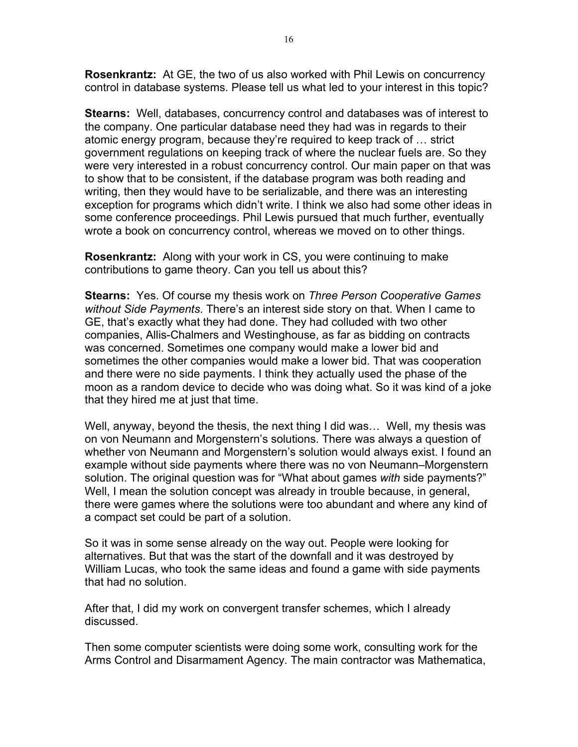**Rosenkrantz:** At GE, the two of us also worked with Phil Lewis on concurrency control in database systems. Please tell us what led to your interest in this topic?

**Stearns:** Well, databases, concurrency control and databases was of interest to the company. One particular database need they had was in regards to their atomic energy program, because they're required to keep track of … strict government regulations on keeping track of where the nuclear fuels are. So they were very interested in a robust concurrency control. Our main paper on that was to show that to be consistent, if the database program was both reading and writing, then they would have to be serializable, and there was an interesting exception for programs which didn't write. I think we also had some other ideas in some conference proceedings. Phil Lewis pursued that much further, eventually wrote a book on concurrency control, whereas we moved on to other things.

**Rosenkrantz:** Along with your work in CS, you were continuing to make contributions to game theory. Can you tell us about this?

**Stearns:** Yes. Of course my thesis work on *Three Person Cooperative Games without Side Payments*. There's an interest side story on that. When I came to GE, that's exactly what they had done. They had colluded with two other companies, Allis-Chalmers and Westinghouse, as far as bidding on contracts was concerned. Sometimes one company would make a lower bid and sometimes the other companies would make a lower bid. That was cooperation and there were no side payments. I think they actually used the phase of the moon as a random device to decide who was doing what. So it was kind of a joke that they hired me at just that time.

Well, anyway, beyond the thesis, the next thing I did was… Well, my thesis was on von Neumann and Morgenstern's solutions. There was always a question of whether von Neumann and Morgenstern's solution would always exist. I found an example without side payments where there was no von Neumann–Morgenstern solution. The original question was for "What about games *with* side payments?" Well, I mean the solution concept was already in trouble because, in general, there were games where the solutions were too abundant and where any kind of a compact set could be part of a solution.

So it was in some sense already on the way out. People were looking for alternatives. But that was the start of the downfall and it was destroyed by William Lucas, who took the same ideas and found a game with side payments that had no solution.

After that, I did my work on convergent transfer schemes, which I already discussed.

Then some computer scientists were doing some work, consulting work for the Arms Control and Disarmament Agency. The main contractor was Mathematica,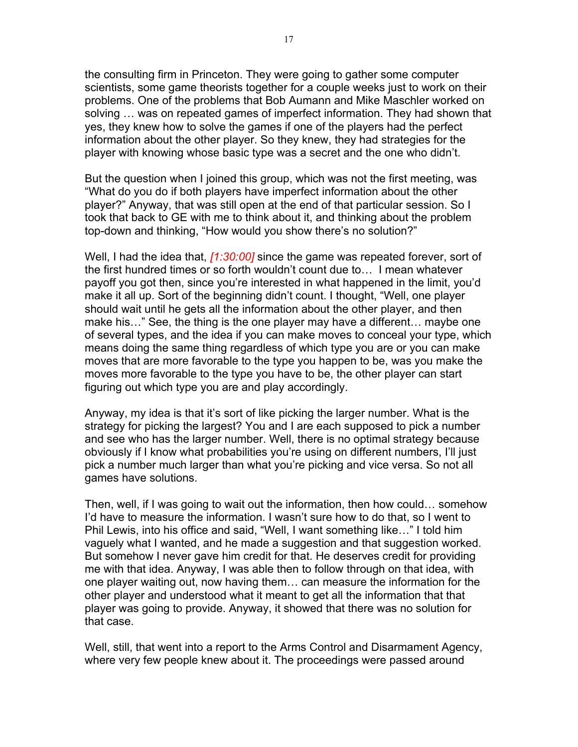the consulting firm in Princeton. They were going to gather some computer scientists, some game theorists together for a couple weeks just to work on their problems. One of the problems that Bob Aumann and Mike Maschler worked on solving … was on repeated games of imperfect information. They had shown that yes, they knew how to solve the games if one of the players had the perfect information about the other player. So they knew, they had strategies for the player with knowing whose basic type was a secret and the one who didn't.

But the question when I joined this group, which was not the first meeting, was "What do you do if both players have imperfect information about the other player?" Anyway, that was still open at the end of that particular session. So I took that back to GE with me to think about it, and thinking about the problem top-down and thinking, "How would you show there's no solution?"

Well, I had the idea that, *[1:30:00]* since the game was repeated forever, sort of the first hundred times or so forth wouldn't count due to… I mean whatever payoff you got then, since you're interested in what happened in the limit, you'd make it all up. Sort of the beginning didn't count. I thought, "Well, one player should wait until he gets all the information about the other player, and then make his…" See, the thing is the one player may have a different… maybe one of several types, and the idea if you can make moves to conceal your type, which means doing the same thing regardless of which type you are or you can make moves that are more favorable to the type you happen to be, was you make the moves more favorable to the type you have to be, the other player can start figuring out which type you are and play accordingly.

Anyway, my idea is that it's sort of like picking the larger number. What is the strategy for picking the largest? You and I are each supposed to pick a number and see who has the larger number. Well, there is no optimal strategy because obviously if I know what probabilities you're using on different numbers, I'll just pick a number much larger than what you're picking and vice versa. So not all games have solutions.

Then, well, if I was going to wait out the information, then how could… somehow I'd have to measure the information. I wasn't sure how to do that, so I went to Phil Lewis, into his office and said, "Well, I want something like…" I told him vaguely what I wanted, and he made a suggestion and that suggestion worked. But somehow I never gave him credit for that. He deserves credit for providing me with that idea. Anyway, I was able then to follow through on that idea, with one player waiting out, now having them… can measure the information for the other player and understood what it meant to get all the information that that player was going to provide. Anyway, it showed that there was no solution for that case.

Well, still, that went into a report to the Arms Control and Disarmament Agency, where very few people knew about it. The proceedings were passed around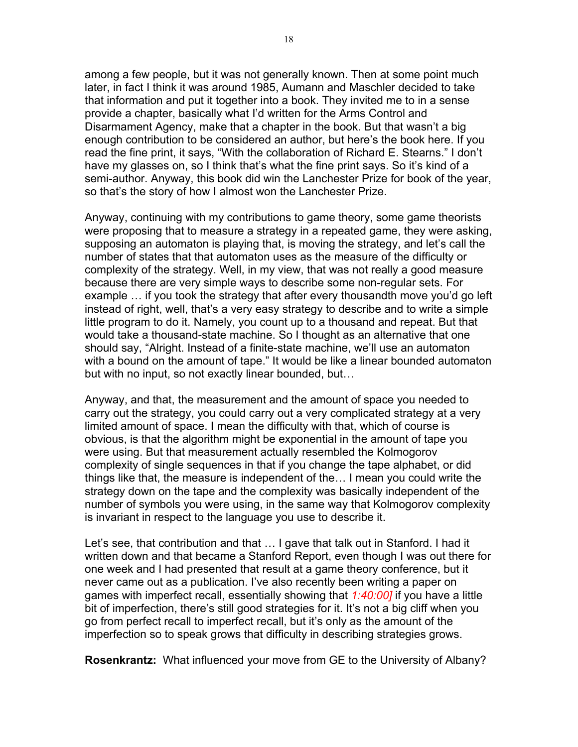among a few people, but it was not generally known. Then at some point much later, in fact I think it was around 1985, Aumann and Maschler decided to take that information and put it together into a book. They invited me to in a sense provide a chapter, basically what I'd written for the Arms Control and Disarmament Agency, make that a chapter in the book. But that wasn't a big enough contribution to be considered an author, but here's the book here. If you read the fine print, it says, "With the collaboration of Richard E. Stearns." I don't have my glasses on, so I think that's what the fine print says. So it's kind of a semi-author. Anyway, this book did win the Lanchester Prize for book of the year, so that's the story of how I almost won the Lanchester Prize.

Anyway, continuing with my contributions to game theory, some game theorists were proposing that to measure a strategy in a repeated game, they were asking, supposing an automaton is playing that, is moving the strategy, and let's call the number of states that that automaton uses as the measure of the difficulty or complexity of the strategy. Well, in my view, that was not really a good measure because there are very simple ways to describe some non-regular sets. For example … if you took the strategy that after every thousandth move you'd go left instead of right, well, that's a very easy strategy to describe and to write a simple little program to do it. Namely, you count up to a thousand and repeat. But that would take a thousand-state machine. So I thought as an alternative that one should say, "Alright. Instead of a finite-state machine, we'll use an automaton with a bound on the amount of tape." It would be like a linear bounded automaton but with no input, so not exactly linear bounded, but…

Anyway, and that, the measurement and the amount of space you needed to carry out the strategy, you could carry out a very complicated strategy at a very limited amount of space. I mean the difficulty with that, which of course is obvious, is that the algorithm might be exponential in the amount of tape you were using. But that measurement actually resembled the Kolmogorov complexity of single sequences in that if you change the tape alphabet, or did things like that, the measure is independent of the… I mean you could write the strategy down on the tape and the complexity was basically independent of the number of symbols you were using, in the same way that Kolmogorov complexity is invariant in respect to the language you use to describe it.

Let's see, that contribution and that … I gave that talk out in Stanford. I had it written down and that became a Stanford Report, even though I was out there for one week and I had presented that result at a game theory conference, but it never came out as a publication. I've also recently been writing a paper on games with imperfect recall, essentially showing that *1:40:00]* if you have a little bit of imperfection, there's still good strategies for it. It's not a big cliff when you go from perfect recall to imperfect recall, but it's only as the amount of the imperfection so to speak grows that difficulty in describing strategies grows.

**Rosenkrantz:** What influenced your move from GE to the University of Albany?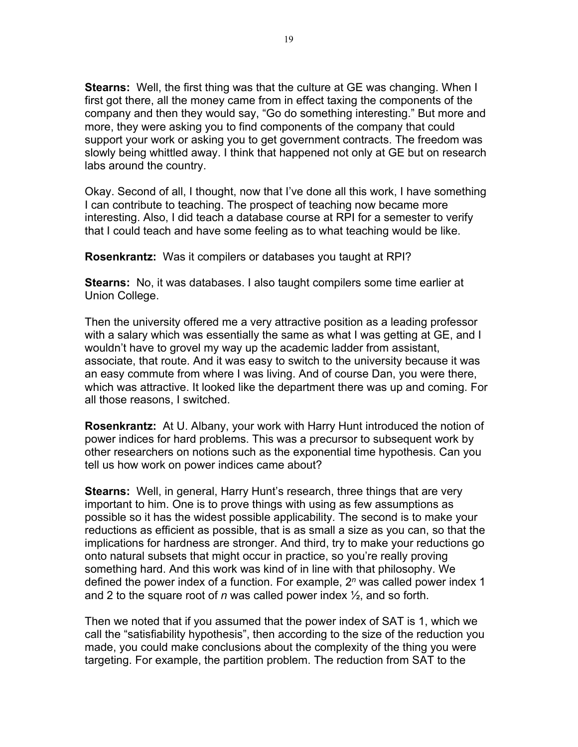**Stearns:** Well, the first thing was that the culture at GE was changing. When I first got there, all the money came from in effect taxing the components of the company and then they would say, "Go do something interesting." But more and more, they were asking you to find components of the company that could support your work or asking you to get government contracts. The freedom was slowly being whittled away. I think that happened not only at GE but on research labs around the country.

Okay. Second of all, I thought, now that I've done all this work, I have something I can contribute to teaching. The prospect of teaching now became more interesting. Also, I did teach a database course at RPI for a semester to verify that I could teach and have some feeling as to what teaching would be like.

**Rosenkrantz:** Was it compilers or databases you taught at RPI?

**Stearns:** No, it was databases. I also taught compilers some time earlier at Union College.

Then the university offered me a very attractive position as a leading professor with a salary which was essentially the same as what I was getting at GE, and I wouldn't have to grovel my way up the academic ladder from assistant, associate, that route. And it was easy to switch to the university because it was an easy commute from where I was living. And of course Dan, you were there, which was attractive. It looked like the department there was up and coming. For all those reasons, I switched.

**Rosenkrantz:** At U. Albany, your work with Harry Hunt introduced the notion of power indices for hard problems. This was a precursor to subsequent work by other researchers on notions such as the exponential time hypothesis. Can you tell us how work on power indices came about?

**Stearns:** Well, in general, Harry Hunt's research, three things that are very important to him. One is to prove things with using as few assumptions as possible so it has the widest possible applicability. The second is to make your reductions as efficient as possible, that is as small a size as you can, so that the implications for hardness are stronger. And third, try to make your reductions go onto natural subsets that might occur in practice, so you're really proving something hard. And this work was kind of in line with that philosophy. We defined the power index of a function. For example, 2*<sup>n</sup>* was called power index 1 and 2 to the square root of *n* was called power index ½, and so forth.

Then we noted that if you assumed that the power index of SAT is 1, which we call the "satisfiability hypothesis", then according to the size of the reduction you made, you could make conclusions about the complexity of the thing you were targeting. For example, the partition problem. The reduction from SAT to the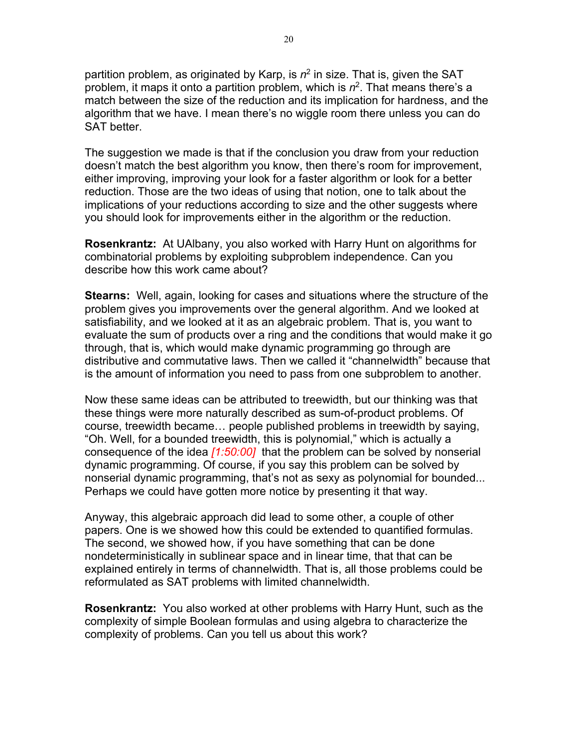partition problem, as originated by Karp, is  $n^2$  in size. That is, given the SAT problem, it maps it onto a partition problem, which is *n*2. That means there's a match between the size of the reduction and its implication for hardness, and the algorithm that we have. I mean there's no wiggle room there unless you can do SAT better.

The suggestion we made is that if the conclusion you draw from your reduction doesn't match the best algorithm you know, then there's room for improvement, either improving, improving your look for a faster algorithm or look for a better reduction. Those are the two ideas of using that notion, one to talk about the implications of your reductions according to size and the other suggests where you should look for improvements either in the algorithm or the reduction.

**Rosenkrantz:** At UAlbany, you also worked with Harry Hunt on algorithms for combinatorial problems by exploiting subproblem independence. Can you describe how this work came about?

**Stearns:** Well, again, looking for cases and situations where the structure of the problem gives you improvements over the general algorithm. And we looked at satisfiability, and we looked at it as an algebraic problem. That is, you want to evaluate the sum of products over a ring and the conditions that would make it go through, that is, which would make dynamic programming go through are distributive and commutative laws. Then we called it "channelwidth" because that is the amount of information you need to pass from one subproblem to another.

Now these same ideas can be attributed to treewidth, but our thinking was that these things were more naturally described as sum-of-product problems. Of course, treewidth became… people published problems in treewidth by saying, "Oh. Well, for a bounded treewidth, this is polynomial," which is actually a consequence of the idea *[1:50:00]* that the problem can be solved by nonserial dynamic programming. Of course, if you say this problem can be solved by nonserial dynamic programming, that's not as sexy as polynomial for bounded... Perhaps we could have gotten more notice by presenting it that way.

Anyway, this algebraic approach did lead to some other, a couple of other papers. One is we showed how this could be extended to quantified formulas. The second, we showed how, if you have something that can be done nondeterministically in sublinear space and in linear time, that that can be explained entirely in terms of channelwidth. That is, all those problems could be reformulated as SAT problems with limited channelwidth.

**Rosenkrantz:** You also worked at other problems with Harry Hunt, such as the complexity of simple Boolean formulas and using algebra to characterize the complexity of problems. Can you tell us about this work?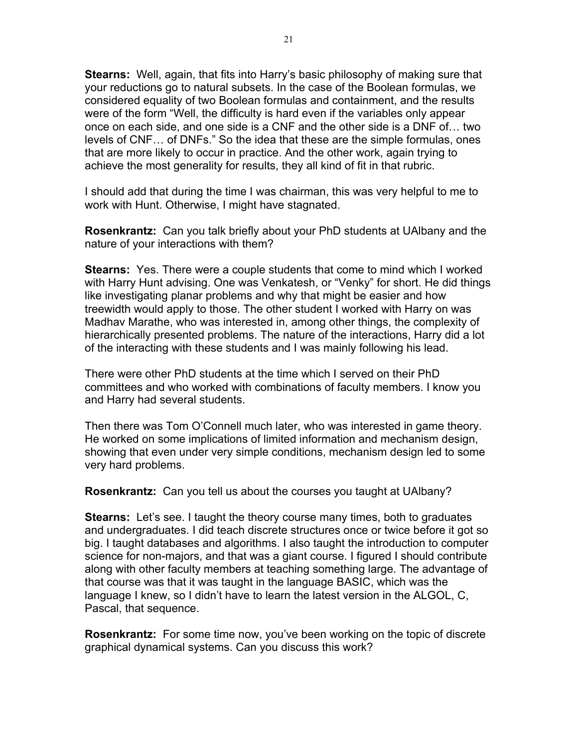**Stearns:** Well, again, that fits into Harry's basic philosophy of making sure that your reductions go to natural subsets. In the case of the Boolean formulas, we considered equality of two Boolean formulas and containment, and the results were of the form "Well, the difficulty is hard even if the variables only appear once on each side, and one side is a CNF and the other side is a DNF of… two levels of CNF… of DNFs." So the idea that these are the simple formulas, ones that are more likely to occur in practice. And the other work, again trying to achieve the most generality for results, they all kind of fit in that rubric.

I should add that during the time I was chairman, this was very helpful to me to work with Hunt. Otherwise, I might have stagnated.

**Rosenkrantz:** Can you talk briefly about your PhD students at UAlbany and the nature of your interactions with them?

**Stearns:** Yes. There were a couple students that come to mind which I worked with Harry Hunt advising. One was Venkatesh, or "Venky" for short. He did things like investigating planar problems and why that might be easier and how treewidth would apply to those. The other student I worked with Harry on was Madhav Marathe, who was interested in, among other things, the complexity of hierarchically presented problems. The nature of the interactions, Harry did a lot of the interacting with these students and I was mainly following his lead.

There were other PhD students at the time which I served on their PhD committees and who worked with combinations of faculty members. I know you and Harry had several students.

Then there was Tom O'Connell much later, who was interested in game theory. He worked on some implications of limited information and mechanism design, showing that even under very simple conditions, mechanism design led to some very hard problems.

**Rosenkrantz:** Can you tell us about the courses you taught at UAlbany?

**Stearns:** Let's see. I taught the theory course many times, both to graduates and undergraduates. I did teach discrete structures once or twice before it got so big. I taught databases and algorithms. I also taught the introduction to computer science for non-majors, and that was a giant course. I figured I should contribute along with other faculty members at teaching something large. The advantage of that course was that it was taught in the language BASIC, which was the language I knew, so I didn't have to learn the latest version in the ALGOL, C, Pascal, that sequence.

**Rosenkrantz:** For some time now, you've been working on the topic of discrete graphical dynamical systems. Can you discuss this work?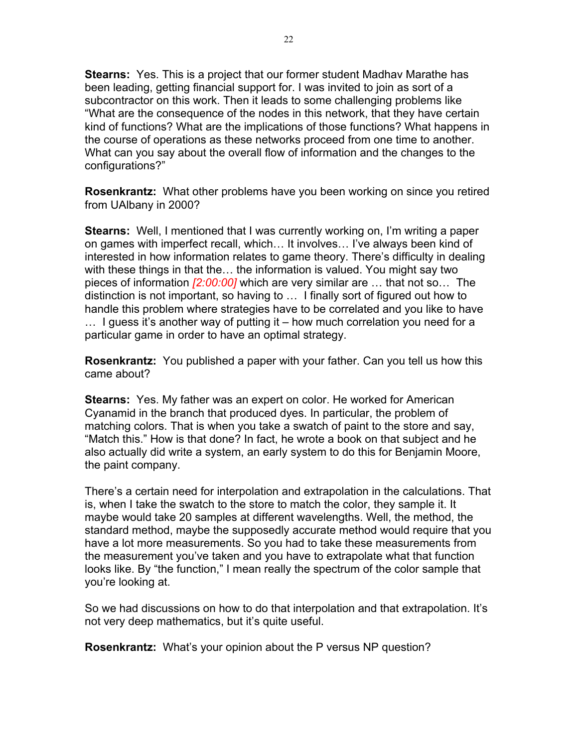**Stearns:** Yes. This is a project that our former student Madhav Marathe has been leading, getting financial support for. I was invited to join as sort of a subcontractor on this work. Then it leads to some challenging problems like "What are the consequence of the nodes in this network, that they have certain kind of functions? What are the implications of those functions? What happens in the course of operations as these networks proceed from one time to another. What can you say about the overall flow of information and the changes to the configurations?"

**Rosenkrantz:** What other problems have you been working on since you retired from UAlbany in 2000?

**Stearns:** Well, I mentioned that I was currently working on, I'm writing a paper on games with imperfect recall, which… It involves… I've always been kind of interested in how information relates to game theory. There's difficulty in dealing with these things in that the… the information is valued. You might say two pieces of information *[2:00:00]* which are very similar are … that not so… The distinction is not important, so having to … I finally sort of figured out how to handle this problem where strategies have to be correlated and you like to have … I guess it's another way of putting it – how much correlation you need for a particular game in order to have an optimal strategy.

**Rosenkrantz:** You published a paper with your father. Can you tell us how this came about?

**Stearns:** Yes. My father was an expert on color. He worked for American Cyanamid in the branch that produced dyes. In particular, the problem of matching colors. That is when you take a swatch of paint to the store and say, "Match this." How is that done? In fact, he wrote a book on that subject and he also actually did write a system, an early system to do this for Benjamin Moore, the paint company.

There's a certain need for interpolation and extrapolation in the calculations. That is, when I take the swatch to the store to match the color, they sample it. It maybe would take 20 samples at different wavelengths. Well, the method, the standard method, maybe the supposedly accurate method would require that you have a lot more measurements. So you had to take these measurements from the measurement you've taken and you have to extrapolate what that function looks like. By "the function," I mean really the spectrum of the color sample that you're looking at.

So we had discussions on how to do that interpolation and that extrapolation. It's not very deep mathematics, but it's quite useful.

**Rosenkrantz:** What's your opinion about the P versus NP question?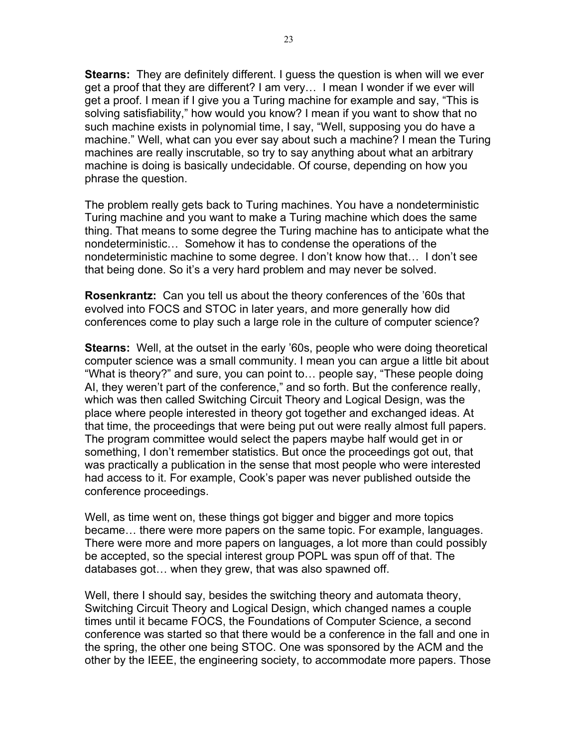**Stearns:** They are definitely different. I guess the question is when will we ever get a proof that they are different? I am very… I mean I wonder if we ever will get a proof. I mean if I give you a Turing machine for example and say, "This is solving satisfiability," how would you know? I mean if you want to show that no such machine exists in polynomial time, I say, "Well, supposing you do have a machine." Well, what can you ever say about such a machine? I mean the Turing machines are really inscrutable, so try to say anything about what an arbitrary machine is doing is basically undecidable. Of course, depending on how you phrase the question.

The problem really gets back to Turing machines. You have a nondeterministic Turing machine and you want to make a Turing machine which does the same thing. That means to some degree the Turing machine has to anticipate what the nondeterministic… Somehow it has to condense the operations of the nondeterministic machine to some degree. I don't know how that… I don't see that being done. So it's a very hard problem and may never be solved.

**Rosenkrantz:** Can you tell us about the theory conferences of the '60s that evolved into FOCS and STOC in later years, and more generally how did conferences come to play such a large role in the culture of computer science?

**Stearns:** Well, at the outset in the early '60s, people who were doing theoretical computer science was a small community. I mean you can argue a little bit about "What is theory?" and sure, you can point to… people say, "These people doing AI, they weren't part of the conference," and so forth. But the conference really, which was then called Switching Circuit Theory and Logical Design, was the place where people interested in theory got together and exchanged ideas. At that time, the proceedings that were being put out were really almost full papers. The program committee would select the papers maybe half would get in or something, I don't remember statistics. But once the proceedings got out, that was practically a publication in the sense that most people who were interested had access to it. For example, Cook's paper was never published outside the conference proceedings.

Well, as time went on, these things got bigger and bigger and more topics became… there were more papers on the same topic. For example, languages. There were more and more papers on languages, a lot more than could possibly be accepted, so the special interest group POPL was spun off of that. The databases got… when they grew, that was also spawned off.

Well, there I should say, besides the switching theory and automata theory, Switching Circuit Theory and Logical Design, which changed names a couple times until it became FOCS, the Foundations of Computer Science, a second conference was started so that there would be a conference in the fall and one in the spring, the other one being STOC. One was sponsored by the ACM and the other by the IEEE, the engineering society, to accommodate more papers. Those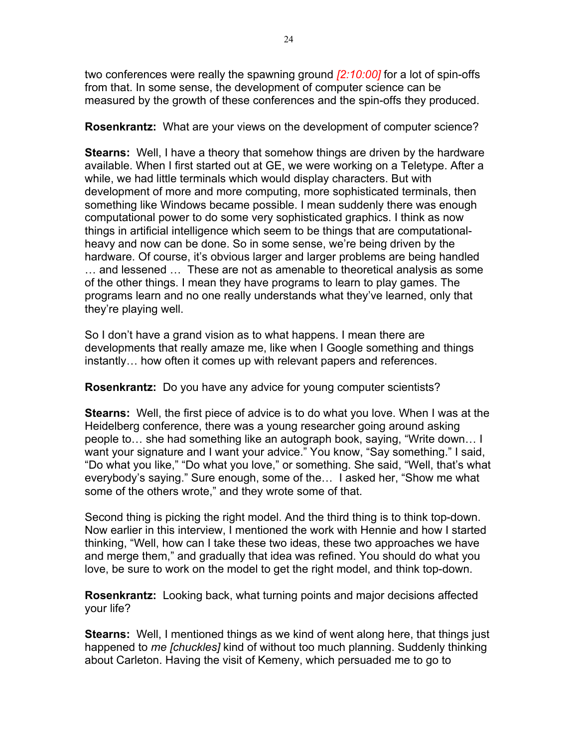two conferences were really the spawning ground *[2:10:00]* for a lot of spin-offs from that. In some sense, the development of computer science can be measured by the growth of these conferences and the spin-offs they produced.

**Rosenkrantz:** What are your views on the development of computer science?

**Stearns:** Well, I have a theory that somehow things are driven by the hardware available. When I first started out at GE, we were working on a Teletype. After a while, we had little terminals which would display characters. But with development of more and more computing, more sophisticated terminals, then something like Windows became possible. I mean suddenly there was enough computational power to do some very sophisticated graphics. I think as now things in artificial intelligence which seem to be things that are computationalheavy and now can be done. So in some sense, we're being driven by the hardware. Of course, it's obvious larger and larger problems are being handled … and lessened … These are not as amenable to theoretical analysis as some of the other things. I mean they have programs to learn to play games. The programs learn and no one really understands what they've learned, only that they're playing well.

So I don't have a grand vision as to what happens. I mean there are developments that really amaze me, like when I Google something and things instantly… how often it comes up with relevant papers and references.

**Rosenkrantz:** Do you have any advice for young computer scientists?

**Stearns:** Well, the first piece of advice is to do what you love. When I was at the Heidelberg conference, there was a young researcher going around asking people to… she had something like an autograph book, saying, "Write down… I want your signature and I want your advice." You know, "Say something." I said, "Do what you like," "Do what you love," or something. She said, "Well, that's what everybody's saying." Sure enough, some of the… I asked her, "Show me what some of the others wrote," and they wrote some of that.

Second thing is picking the right model. And the third thing is to think top-down. Now earlier in this interview, I mentioned the work with Hennie and how I started thinking, "Well, how can I take these two ideas, these two approaches we have and merge them," and gradually that idea was refined. You should do what you love, be sure to work on the model to get the right model, and think top-down.

**Rosenkrantz:** Looking back, what turning points and major decisions affected your life?

**Stearns:** Well, I mentioned things as we kind of went along here, that things just happened to *me [chuckles]* kind of without too much planning. Suddenly thinking about Carleton. Having the visit of Kemeny, which persuaded me to go to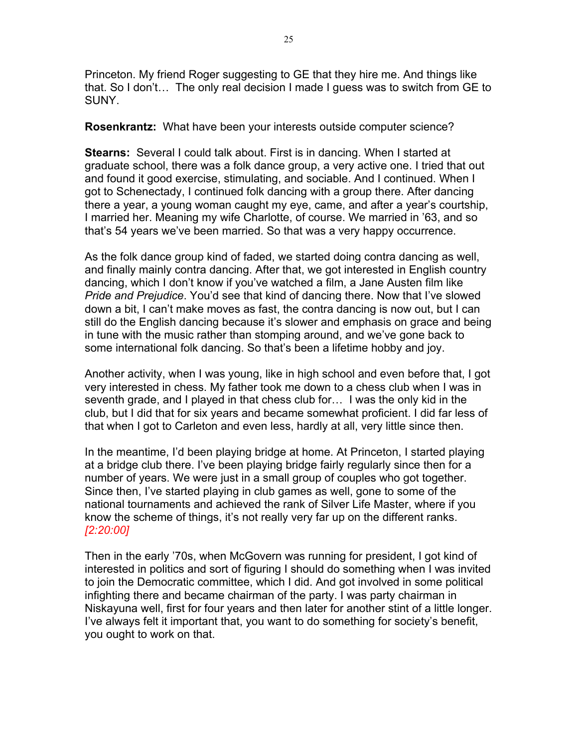Princeton. My friend Roger suggesting to GE that they hire me. And things like that. So I don't… The only real decision I made I guess was to switch from GE to SUNY.

**Rosenkrantz:** What have been your interests outside computer science?

**Stearns:** Several I could talk about. First is in dancing. When I started at graduate school, there was a folk dance group, a very active one. I tried that out and found it good exercise, stimulating, and sociable. And I continued. When I got to Schenectady, I continued folk dancing with a group there. After dancing there a year, a young woman caught my eye, came, and after a year's courtship, I married her. Meaning my wife Charlotte, of course. We married in '63, and so that's 54 years we've been married. So that was a very happy occurrence.

As the folk dance group kind of faded, we started doing contra dancing as well, and finally mainly contra dancing. After that, we got interested in English country dancing, which I don't know if you've watched a film, a Jane Austen film like *Pride and Prejudice*. You'd see that kind of dancing there. Now that I've slowed down a bit, I can't make moves as fast, the contra dancing is now out, but I can still do the English dancing because it's slower and emphasis on grace and being in tune with the music rather than stomping around, and we've gone back to some international folk dancing. So that's been a lifetime hobby and joy.

Another activity, when I was young, like in high school and even before that, I got very interested in chess. My father took me down to a chess club when I was in seventh grade, and I played in that chess club for… I was the only kid in the club, but I did that for six years and became somewhat proficient. I did far less of that when I got to Carleton and even less, hardly at all, very little since then.

In the meantime, I'd been playing bridge at home. At Princeton, I started playing at a bridge club there. I've been playing bridge fairly regularly since then for a number of years. We were just in a small group of couples who got together. Since then, I've started playing in club games as well, gone to some of the national tournaments and achieved the rank of Silver Life Master, where if you know the scheme of things, it's not really very far up on the different ranks. *[2:20:00]*

Then in the early '70s, when McGovern was running for president, I got kind of interested in politics and sort of figuring I should do something when I was invited to join the Democratic committee, which I did. And got involved in some political infighting there and became chairman of the party. I was party chairman in Niskayuna well, first for four years and then later for another stint of a little longer. I've always felt it important that, you want to do something for society's benefit, you ought to work on that.